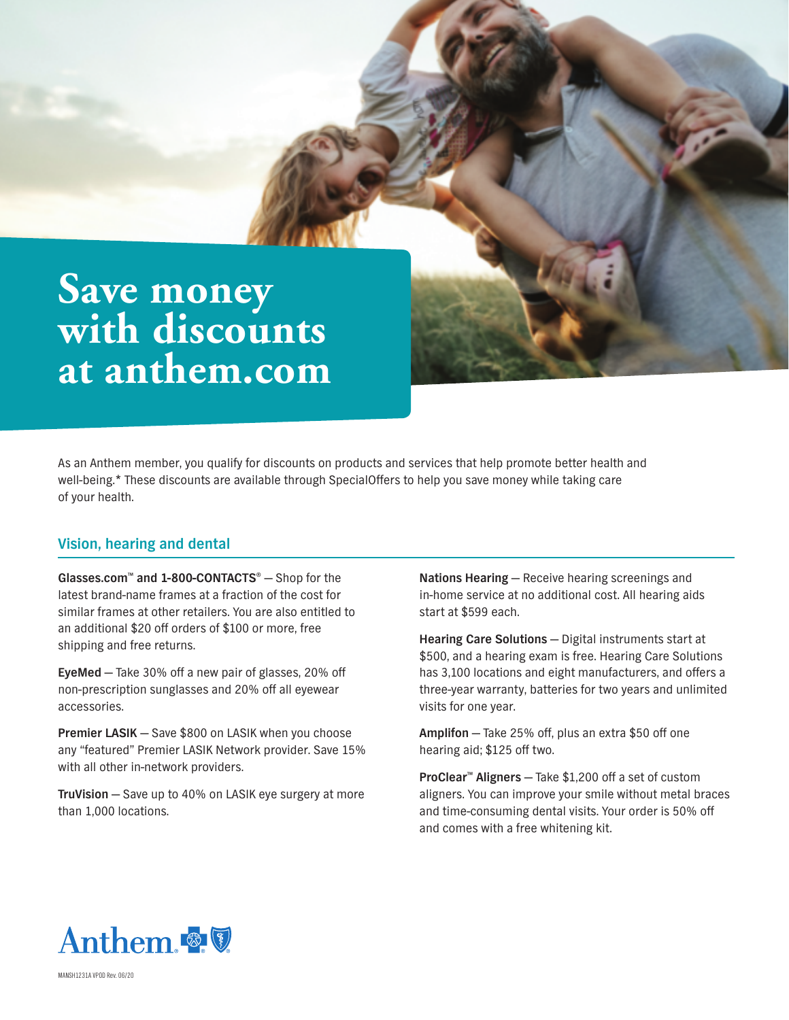# **Save money with discounts at [anthem.com](http://anthem.com)**

As an Anthem member, you qualify for discounts on products and services that help promote better health and well-being.\* These discounts are available through SpecialOffers to help you save money while taking care of your health.

## **Vision, hearing and dental**

**Glasses.com™ and 1-800-CONTACTS®** — Shop for the latest brand-name frames at a fraction of the cost for similar frames at other retailers. You are also entitled to an additional \$20 off orders of \$100 or more, free shipping and free returns.

**EyeMed** — Take 30% off a new pair of glasses, 20% off non-prescription sunglasses and 20% off all eyewear accessories.

**Premier LASIK** — Save \$800 on LASIK when you choose any "featured" Premier LASIK Network provider. Save 15% with all other in-network providers.

**TruVision** — Save up to 40% on LASIK eye surgery at more than 1,000 locations.

**Nations Hearing** — Receive hearing screenings and in-home service at no additional cost. All hearing aids start at \$599 each.

**Hearing Care Solutions** — Digital instruments start at \$500, and a hearing exam is free. Hearing Care Solutions has 3,100 locations and eight manufacturers, and offers a three-year warranty, batteries for two years and unlimited visits for one year.

**Amplifon** — Take 25% off, plus an extra \$50 off one hearing aid; \$125 off two.

**ProClear™ Aligners** — Take \$1,200 off a set of custom aligners. You can improve your smile without metal braces and time-consuming dental visits. Your order is 50% off and comes with a free whitening kit.



MANSH1231A VPOD Rev. 06/20